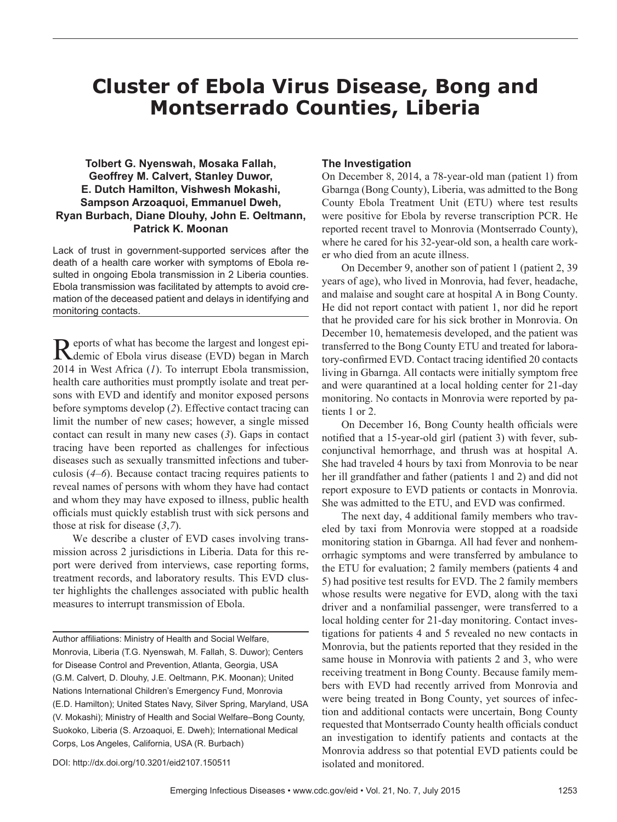# **Cluster of Ebola Virus Disease, Bong and Montserrado Counties, Liberia**

# **Tolbert G. Nyenswah, Mosaka Fallah, Geoffrey M. Calvert, Stanley Duwor, E. Dutch Hamilton, Vishwesh Mokashi, Sampson Arzoaquoi, Emmanuel Dweh, Ryan Burbach, Diane Dlouhy, John E. Oeltmann, Patrick K. Moonan**

Lack of trust in government-supported services after the death of a health care worker with symptoms of Ebola resulted in ongoing Ebola transmission in 2 Liberia counties. Ebola transmission was facilitated by attempts to avoid cremation of the deceased patient and delays in identifying and monitoring contacts.

Reports of what has become the largest and longest epi-<br>demic of Ebola virus disease (EVD) began in March 2014 in West Africa (*1*). To interrupt Ebola transmission, health care authorities must promptly isolate and treat persons with EVD and identify and monitor exposed persons before symptoms develop (*2*). Effective contact tracing can limit the number of new cases; however, a single missed contact can result in many new cases (*3*). Gaps in contact tracing have been reported as challenges for infectious diseases such as sexually transmitted infections and tuberculosis (*4*–*6*). Because contact tracing requires patients to reveal names of persons with whom they have had contact and whom they may have exposed to illness, public health officials must quickly establish trust with sick persons and those at risk for disease (*3*,*7*).

We describe a cluster of EVD cases involving transmission across 2 jurisdictions in Liberia. Data for this report were derived from interviews, case reporting forms, treatment records, and laboratory results. This EVD cluster highlights the challenges associated with public health measures to interrupt transmission of Ebola.

Author affiliations: Ministry of Health and Social Welfare, Monrovia, Liberia (T.G. Nyenswah, M. Fallah, S. Duwor); Centers for Disease Control and Prevention, Atlanta, Georgia, USA (G.M. Calvert, D. Dlouhy, J.E. Oeltmann, P.K. Moonan); United Nations International Children's Emergency Fund, Monrovia (E.D. Hamilton); United States Navy, Silver Spring, Maryland, USA (V. Mokashi); Ministry of Health and Social Welfare–Bong County, Suokoko, Liberia (S. Arzoaquoi, E. Dweh); International Medical Corps, Los Angeles, California, USA (R. Burbach)

# **The Investigation**

On December 8, 2014, a 78-year-old man (patient 1) from Gbarnga (Bong County), Liberia, was admitted to the Bong County Ebola Treatment Unit (ETU) where test results were positive for Ebola by reverse transcription PCR. He reported recent travel to Monrovia (Montserrado County), where he cared for his 32-year-old son, a health care worker who died from an acute illness.

On December 9, another son of patient 1 (patient 2, 39 years of age), who lived in Monrovia, had fever, headache, and malaise and sought care at hospital A in Bong County. He did not report contact with patient 1, nor did he report that he provided care for his sick brother in Monrovia. On December 10, hematemesis developed, and the patient was transferred to the Bong County ETU and treated for laboratory-confirmed EVD. Contact tracing identified 20 contacts living in Gbarnga. All contacts were initially symptom free and were quarantined at a local holding center for 21-day monitoring. No contacts in Monrovia were reported by patients 1 or 2.

On December 16, Bong County health officials were notified that a 15-year-old girl (patient 3) with fever, subconjunctival hemorrhage, and thrush was at hospital A. She had traveled 4 hours by taxi from Monrovia to be near her ill grandfather and father (patients 1 and 2) and did not report exposure to EVD patients or contacts in Monrovia. She was admitted to the ETU, and EVD was confirmed.

The next day, 4 additional family members who traveled by taxi from Monrovia were stopped at a roadside monitoring station in Gbarnga. All had fever and nonhemorrhagic symptoms and were transferred by ambulance to the ETU for evaluation; 2 family members (patients 4 and 5) had positive test results for EVD. The 2 family members whose results were negative for EVD, along with the taxi driver and a nonfamilial passenger, were transferred to a local holding center for 21-day monitoring. Contact investigations for patients 4 and 5 revealed no new contacts in Monrovia, but the patients reported that they resided in the same house in Monrovia with patients 2 and 3, who were receiving treatment in Bong County. Because family members with EVD had recently arrived from Monrovia and were being treated in Bong County, yet sources of infection and additional contacts were uncertain, Bong County requested that Montserrado County health officials conduct an investigation to identify patients and contacts at the Monrovia address so that potential EVD patients could be isolated and monitored.

DOI: http://dx.doi.org/10.3201/eid2107.150511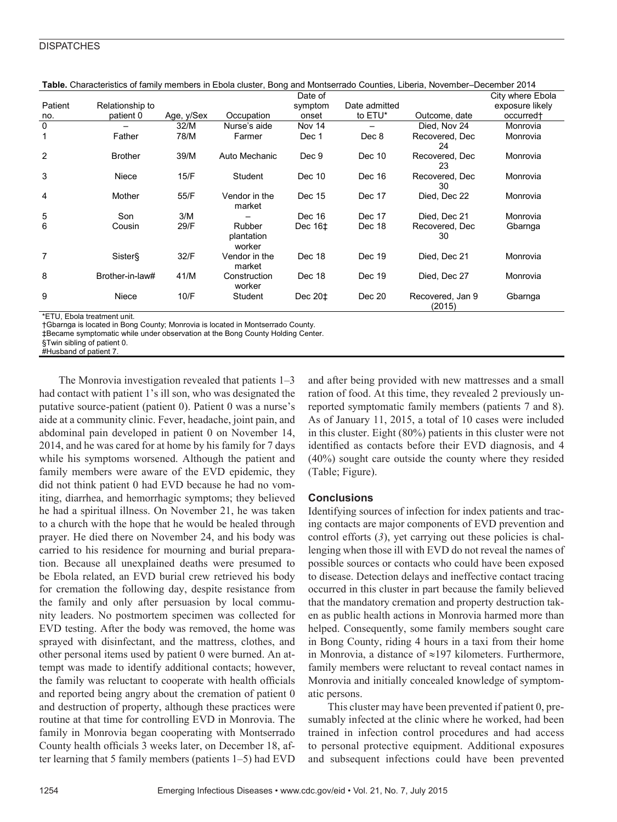# **DISPATCHES**

|                |                 |            |                                | Date of                            |               |                            | City where Ebola      |
|----------------|-----------------|------------|--------------------------------|------------------------------------|---------------|----------------------------|-----------------------|
| Patient        | Relationship to |            |                                | symptom                            | Date admitted |                            | exposure likely       |
| no.            | patient 0       | Age, y/Sex | Occupation                     | onset                              | to ETU*       | Outcome, date              | occurred <sup>+</sup> |
| $\mathbf 0$    |                 | 32/M       | Nurse's aide                   | Nov 14                             |               | Died. Nov 24               | Monrovia              |
|                | Father          | 78/M       | Farmer                         | Dec 1                              | Dec 8         | Recovered, Dec<br>24       | Monrovia              |
| $\overline{2}$ | <b>Brother</b>  | 39/M       | Auto Mechanic                  | Dec 9                              | Dec 10        | Recovered, Dec<br>23       | Monrovia              |
| 3              | Niece           | 15/F       | Student                        | Dec 10                             | Dec 16        | Recovered, Dec<br>30       | Monrovia              |
| 4              | Mother          | 55/F       | Vendor in the<br>market        | Dec 15                             | Dec 17        | Died, Dec 22               | Monrovia              |
| 5              | Son             | 3/M        |                                | Dec 16                             | Dec 17        | Died. Dec 21               | Monrovia              |
| 6              | Cousin          | 29/F       | Rubber<br>plantation<br>worker | Dec $16±$                          | Dec 18        | Recovered, Dec<br>30       | Gbarnga               |
| $\overline{7}$ | <b>Sister</b> § | 32/F       | Vendor in the<br>market        | Dec 18                             | Dec 19        | Died. Dec 21               | Monrovia              |
| 8              | Brother-in-law# | 41/M       | Construction<br>worker         | Dec 18                             | Dec 19        | Died, Dec 27               | Monrovia              |
| 9              | Niece           | 10/F       | Student                        | Dec 20 <sup><math>\pm</math></sup> | Dec 20        | Recovered, Jan 9<br>(2015) | Gbarnga               |

Table. Characteristics of family members in Ebola cluster, Bong and Montserrado Counties, Liberia, November–December 2014

\*FTU, Fhola treatment unit.

†Gbarnga is located in Bong County; Monrovia is located in Montserrado County.

‡Became symptomatic while under observation at the Bong County Holding Center.

§Twin sibling of patient 0. #Husband of patient 7.

The Monrovia investigation revealed that patients 1–3 had contact with patient 1's ill son, who was designated the putative source-patient (patient 0). Patient 0 was a nurse's aide at a community clinic. Fever, headache, joint pain, and abdominal pain developed in patient 0 on November 14, 2014, and he was cared for at home by his family for 7 days while his symptoms worsened. Although the patient and family members were aware of the EVD epidemic, they did not think patient 0 had EVD because he had no vomiting, diarrhea, and hemorrhagic symptoms; they believed he had a spiritual illness. On November 21, he was taken to a church with the hope that he would be healed through prayer. He died there on November 24, and his body was carried to his residence for mourning and burial preparation. Because all unexplained deaths were presumed to be Ebola related, an EVD burial crew retrieved his body for cremation the following day, despite resistance from the family and only after persuasion by local community leaders. No postmortem specimen was collected for EVD testing. After the body was removed, the home was sprayed with disinfectant, and the mattress, clothes, and other personal items used by patient 0 were burned. An attempt was made to identify additional contacts; however, the family was reluctant to cooperate with health officials and reported being angry about the cremation of patient 0 and destruction of property, although these practices were routine at that time for controlling EVD in Monrovia. The family in Monrovia began cooperating with Montserrado County health officials 3 weeks later, on December 18, after learning that 5 family members (patients 1–5) had EVD

and after being provided with new mattresses and a small ration of food. At this time, they revealed 2 previously unreported symptomatic family members (patients 7 and 8). As of January 11, 2015, a total of 10 cases were included in this cluster. Eight (80%) patients in this cluster were not identified as contacts before their EVD diagnosis, and 4 (40%) sought care outside the county where they resided (Table; Figure).

# **Conclusions**

Identifying sources of infection for index patients and tracing contacts are major components of EVD prevention and control efforts (3), yet carrying out these policies is challenging when those ill with EVD do not reveal the names of possible sources or contacts who could have been exposed to disease. Detection delays and ineffective contact tracing occurred in this cluster in part because the family believed that the mandatory cremation and property destruction taken as public health actions in Monrovia harmed more than helped. Consequently, some family members sought care in Bong County, riding 4 hours in a taxi from their home in Monrovia, a distance of ≈197 kilometers. Furthermore, family members were reluctant to reveal contact names in Monrovia and initially concealed knowledge of symptomatic persons.

This cluster may have been prevented if patient 0, presumably infected at the clinic where he worked, had been trained in infection control procedures and had access to personal protective equipment. Additional exposures and subsequent infections could have been prevented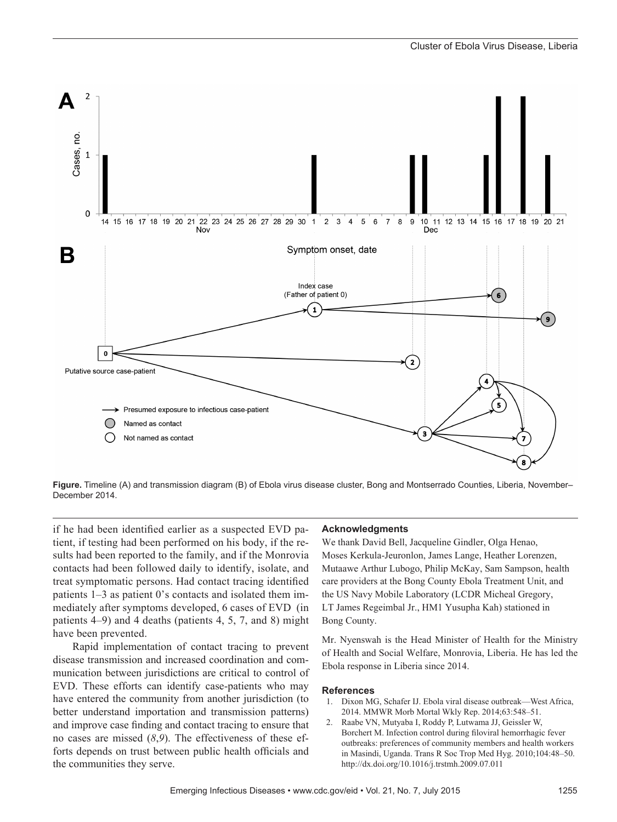

**Figure.** Timeline (A) and transmission diagram (B) of Ebola virus disease cluster, Bong and Montserrado Counties, Liberia, November– December 2014.

if he had been identified earlier as a suspected EVD patient, if testing had been performed on his body, if the results had been reported to the family, and if the Monrovia contacts had been followed daily to identify, isolate, and treat symptomatic persons. Had contact tracing identified patients 1–3 as patient 0's contacts and isolated them immediately after symptoms developed, 6 cases of EVD (in patients 4–9) and 4 deaths (patients 4, 5, 7, and 8) might have been prevented.

Rapid implementation of contact tracing to prevent disease transmission and increased coordination and communication between jurisdictions are critical to control of EVD. These efforts can identify case-patients who may have entered the community from another jurisdiction (to better understand importation and transmission patterns) and improve case finding and contact tracing to ensure that no cases are missed (*8*,*9*). The effectiveness of these efforts depends on trust between public health officials and the communities they serve.

#### **Acknowledgments**

We thank David Bell, Jacqueline Gindler, Olga Henao, Moses Kerkula-Jeuronlon, James Lange, Heather Lorenzen, Mutaawe Arthur Lubogo, Philip McKay, Sam Sampson, health care providers at the Bong County Ebola Treatment Unit, and the US Navy Mobile Laboratory (LCDR Micheal Gregory, LT James Regeimbal Jr., HM1 Yusupha Kah) stationed in Bong County.

Mr. Nyenswah is the Head Minister of Health for the Ministry of Health and Social Welfare, Monrovia, Liberia. He has led the Ebola response in Liberia since 2014.

#### **References**

- 1. Dixon MG, Schafer IJ. Ebola viral disease outbreak—West Africa, 2014. MMWR Morb Mortal Wkly Rep. 2014;63:548–51.
- 2. Raabe VN, Mutyaba I, Roddy P, Lutwama JJ, Geissler W, Borchert M. Infection control during filoviral hemorrhagic fever outbreaks: preferences of community members and health workers in Masindi, Uganda. Trans R Soc Trop Med Hyg. 2010;104:48–50. http://dx.doi.org/10.1016/j.trstmh.2009.07.011